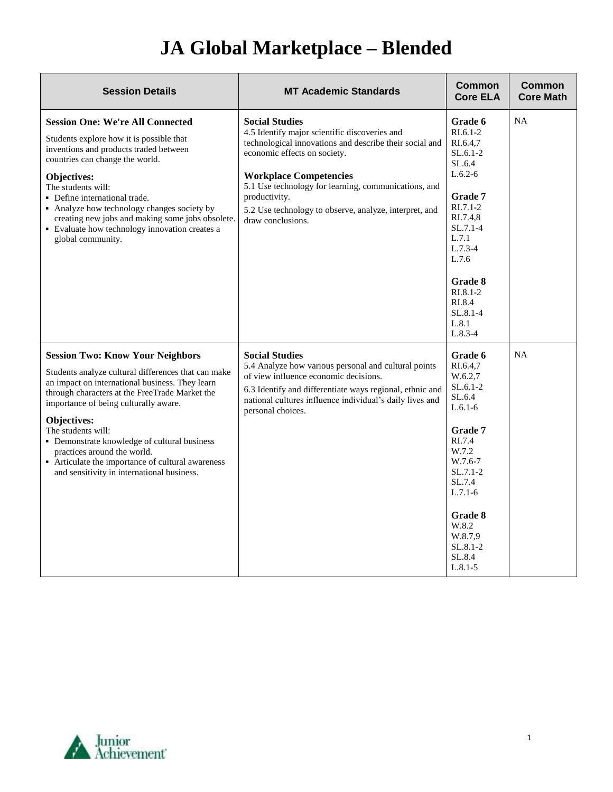## **JA Global Marketplace – Blended**

| <b>Session Details</b>                                                                                                                                                                                                                                                                                                                                                                                                                                              | <b>MT Academic Standards</b>                                                                                                                                                                                                                                                                                                                               | <b>Common</b><br><b>Core ELA</b>                                                                                                                                                                                                  | <b>Common</b><br><b>Core Math</b> |
|---------------------------------------------------------------------------------------------------------------------------------------------------------------------------------------------------------------------------------------------------------------------------------------------------------------------------------------------------------------------------------------------------------------------------------------------------------------------|------------------------------------------------------------------------------------------------------------------------------------------------------------------------------------------------------------------------------------------------------------------------------------------------------------------------------------------------------------|-----------------------------------------------------------------------------------------------------------------------------------------------------------------------------------------------------------------------------------|-----------------------------------|
| <b>Session One: We're All Connected</b><br>Students explore how it is possible that<br>inventions and products traded between<br>countries can change the world.<br>Objectives:<br>The students will:<br>• Define international trade.<br>• Analyze how technology changes society by<br>creating new jobs and making some jobs obsolete.<br>• Evaluate how technology innovation creates a<br>global community.                                                    | <b>Social Studies</b><br>4.5 Identify major scientific discoveries and<br>technological innovations and describe their social and<br>economic effects on society.<br><b>Workplace Competencies</b><br>5.1 Use technology for learning, communications, and<br>productivity.<br>5.2 Use technology to observe, analyze, interpret, and<br>draw conclusions. | Grade 6<br>$RI.6.1-2$<br>RI.6.4,7<br>$SL.6.1-2$<br>SL.6.4<br>$L.6.2-6$<br>Grade 7<br>$RI.7.1-2$<br>RI.7.4,8<br>$SL.7.1-4$<br>L.7.1<br>$L.7.3-4$<br>L.7.6<br>Grade 8<br>$R1.8.1-2$<br>RI.8.4<br>$SL.8.1 - 4$<br>L.8.1<br>$L.8.3-4$ | <b>NA</b>                         |
| <b>Session Two: Know Your Neighbors</b><br>Students analyze cultural differences that can make<br>an impact on international business. They learn<br>through characters at the FreeTrade Market the<br>importance of being culturally aware.<br>Objectives:<br>The students will:<br>• Demonstrate knowledge of cultural business<br>practices around the world.<br>• Articulate the importance of cultural awareness<br>and sensitivity in international business. | <b>Social Studies</b><br>5.4 Analyze how various personal and cultural points<br>of view influence economic decisions.<br>6.3 Identify and differentiate ways regional, ethnic and<br>national cultures influence individual's daily lives and<br>personal choices.                                                                                        | Grade 6<br>RI.6.4,7<br>W.6.2,7<br>SL.6.1-2<br>SL.6.4<br>$L.6.1-6$<br>Grade 7<br>RI.7.4<br>W.7.2<br>W.7.6-7<br>$SL.7.1-2$<br>SL.7.4<br>$L.7.1-6$<br>Grade 8<br>W.8.2<br>W.8.7.9<br>SL.8.1-2<br>SL.8.4<br>$L.8.1 - 5$               | <b>NA</b>                         |

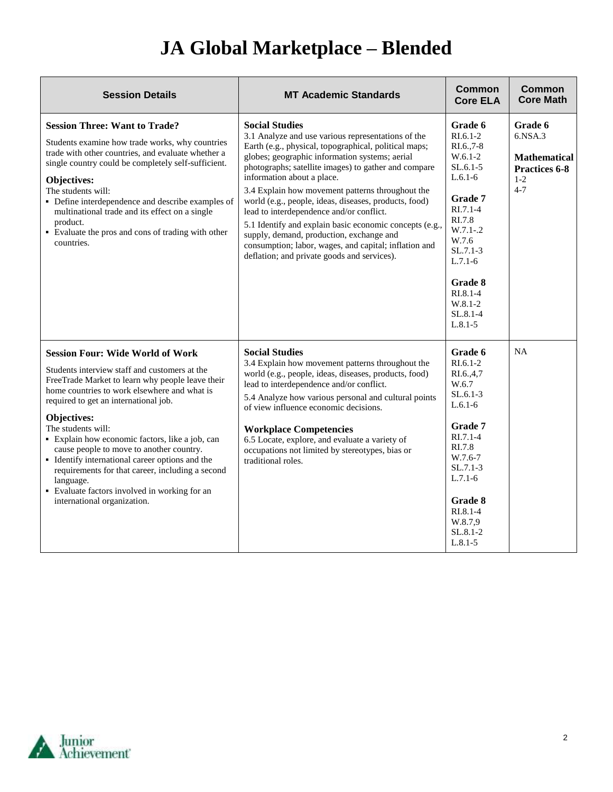## **JA Global Marketplace – Blended**

| <b>Session Details</b>                                                                                                                                                                                                                                                                                                                                                                                                                                                                                                                                                        | <b>MT Academic Standards</b>                                                                                                                                                                                                                                                                                                                                                                                                                                                                                                                                                                                                                         | <b>Common</b><br><b>Core ELA</b>                                                                                                                                                                                                     | Common<br><b>Core Math</b>                                                                    |
|-------------------------------------------------------------------------------------------------------------------------------------------------------------------------------------------------------------------------------------------------------------------------------------------------------------------------------------------------------------------------------------------------------------------------------------------------------------------------------------------------------------------------------------------------------------------------------|------------------------------------------------------------------------------------------------------------------------------------------------------------------------------------------------------------------------------------------------------------------------------------------------------------------------------------------------------------------------------------------------------------------------------------------------------------------------------------------------------------------------------------------------------------------------------------------------------------------------------------------------------|--------------------------------------------------------------------------------------------------------------------------------------------------------------------------------------------------------------------------------------|-----------------------------------------------------------------------------------------------|
| <b>Session Three: Want to Trade?</b><br>Students examine how trade works, why countries<br>trade with other countries, and evaluate whether a<br>single country could be completely self-sufficient.<br>Objectives:<br>The students will:<br>• Define interdependence and describe examples of<br>multinational trade and its effect on a single<br>product.<br>• Evaluate the pros and cons of trading with other<br>countries.                                                                                                                                              | <b>Social Studies</b><br>3.1 Analyze and use various representations of the<br>Earth (e.g., physical, topographical, political maps;<br>globes; geographic information systems; aerial<br>photographs; satellite images) to gather and compare<br>information about a place.<br>3.4 Explain how movement patterns throughout the<br>world (e.g., people, ideas, diseases, products, food)<br>lead to interdependence and/or conflict.<br>5.1 Identify and explain basic economic concepts (e.g.,<br>supply, demand, production, exchange and<br>consumption; labor, wages, and capital; inflation and<br>deflation; and private goods and services). | Grade 6<br>$RI.6.1-2$<br>$RI.6.,7-8$<br>$W.6.1-2$<br>$SL.6.1-5$<br>$L.6.1-6$<br>Grade 7<br>$R1.7.1-4$<br>RI.7.8<br>$W.7.1-.2$<br>W.7.6<br>$SL.7.1-3$<br>$L.7.1-6$<br>Grade 8<br>RI.8.1-4<br>$W.8.1-2$<br>$SL.8.1 - 4$<br>$L.8.1 - 5$ | Grade 6<br>$6.$ NSA $.3$<br><b>Mathematical</b><br><b>Practices 6-8</b><br>$1 - 2$<br>$4 - 7$ |
| <b>Session Four: Wide World of Work</b><br>Students interview staff and customers at the<br>FreeTrade Market to learn why people leave their<br>home countries to work elsewhere and what is<br>required to get an international job.<br>Objectives:<br>The students will:<br>• Explain how economic factors, like a job, can<br>cause people to move to another country.<br>• Identify international career options and the<br>requirements for that career, including a second<br>language.<br>• Evaluate factors involved in working for an<br>international organization. | <b>Social Studies</b><br>3.4 Explain how movement patterns throughout the<br>world (e.g., people, ideas, diseases, products, food)<br>lead to interdependence and/or conflict.<br>5.4 Analyze how various personal and cultural points<br>of view influence economic decisions.<br><b>Workplace Competencies</b><br>6.5 Locate, explore, and evaluate a variety of<br>occupations not limited by stereotypes, bias or<br>traditional roles.                                                                                                                                                                                                          | Grade 6<br>$RI.6.1-2$<br>RI.6.,4,7<br>W.6.7<br>$SL.6.1-3$<br>$L.6.1-6$<br>Grade 7<br>$RI.7.1-4$<br>RI.7.8<br>W.7.6-7<br>$SL.7.1-3$<br>$L.7.1-6$<br>Grade 8<br>$RI.8.1-4$<br>W.8.7,9<br>SL.8.1-2<br>$L.8.1 - 5$                       | <b>NA</b>                                                                                     |